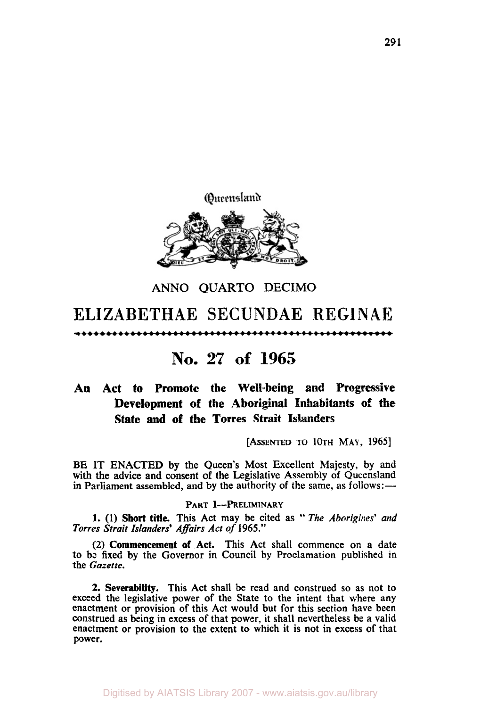

# **ANN0 QUARTO DECIMO ELIZABETHAE SECUNDAE REGINAE**  <del>====================================</del>==<del>=</del>

# **No. 27 of 1965**

## **An Act to Promote the Well-being and Progressive**  Development of the Aboriginal Inhabitants of the **State and of the Torres Strait Islanders**

**[ASSENTED TO** 10th **MAY, 1965]** 

BE IT ENACTED by the Queen's Most Excellent Majesty. by and with the advice and consent of the Legislative Assembly of Queensland in Parliament assembled, and by the authority of the same, as follows:—

#### **PART I-PRELIMINARY**

1. (1) Short title. This Act may be cited as " The *Aborigines' and Torres Strait Islanders' Affairs Act of* **1965."** 

**(2) Commencement of Act.** This Act shall commence on a date to be fixed by the Governor in Council by Proclamation published in the *Gazette.* 

**2. Severability.** This Act shall be read and construed so as not to exceed the legislative power of the State to the intent that where any enactment or provision of this Act would but for this section have been construed as being in excess of that power, it shall nevertheless be **a** valid enactment or provision to the extent to which it is not in excess of that power.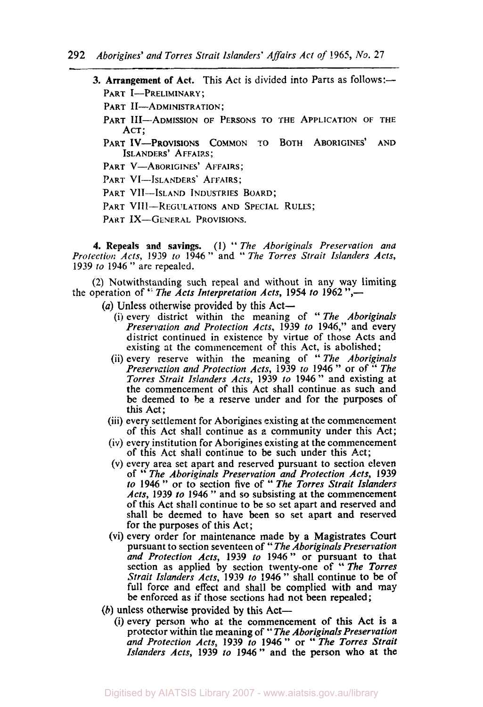- **3. Arrangement of Act.** This Act is divided into Parts as follows:— PART I-PRELIMINARY:
	- PART II-ADMINISTRATION:
	- PART III-ADMISSION OF PERSONS TO THE APPLICATION OF THE ACT;
	- ISLANDERS' AFFAIRS; PART IV-PROVISIONS **COMMON** TO **BOTH** ABORIGINES' AND
	- PART V-ABORIGINES' AFFAIRS;
	- PART VI-ISLANDERS' AFFAIRS;
	- PART VII-ISLAND INDUSTRIES BOARD;
	- PART VIII-REGULATIONS AND SPECIAL RULES;
	- PART IX-GENERAL PROVISIONS.

**4.** Repeals and savings. (I) " *The Aboriginals Preservation und Protection Acts,* **1939** *to* **1946"** and " *The Torres Strait Islanders Acts,*  **<sup>1939</sup>***to* **1946** " are repealed.

(2) Notwithstanding such repeal and without in any way limiting the operation of *The Acts Interpretation Acts,* **1954** *to* **1962 ",-** 

- (a) Unless otherwise provided by this Act-
	- (i) every district within the meaning of " *The Aboriginals Preservation and Protection Acts,* **1939** *to* **1946,"** and every district continued in existence by virtue of those Acts and existing at the commencement of this Act, is abolished;
	- (ii) every reserve within the meaning of '' *The Aboriginals Preservation and Protection Acts,* **1939** *to* **<sup>1946</sup>**" or of " *The Torres Strait Islanders Acts,* **1939** *to* **1946"** and existing at the commencement of this Act shall continue as such and be deemed to be *a* reserve under and for the purposes of this Act;
	- (iii) every settlement for Aborigines existing at the commencement of this Act shall continue as a community under this Act;
	- (iv) every institution for Aborigines existing at the commencement of this Act shall continue to be such under this Act;
	- (V) every area set apart and reserved pursuant to section eleven of " *The Aboriginlals Preservation and Protection Acts,* **<sup>1939</sup>** *to* **<sup>1946</sup>**" **or to** section five of " *The Torres Strait Islanders Acts,* **1939** *to* **<sup>1946</sup>**" and **so** subsisting at the commencement of this Act shall continue to be so set apart and reserved and shall be deemed to have been **so** set apart and reserved for the purposes of this Act;
	- (vi) every order for maintenance **made** by **a** Magistrates **Court**  pursuant to section seventeen of " *The Aboriginals Preservation and Protection Acts,* **1939** *to* **1946** " **or** pursuant to that section as applied by section twenty-one of *"The Torres Strait Islanders Acts,* **1939** *to* **<sup>1946</sup>**" shall continue to be of full force and effect and shall be complied with and may be enforced as if those sections had not been repealed;
- (h) unless otherwise provided **by** this Act-
	- (i) every person who at the commencement of this Act is **a**  protector within the meaning of " *The Aboriginals Preservation and Protection Acts,* **1939** *to* **<sup>1946</sup>**" or " *The Torres Strait Islanders Acts,* **1939** *to* **1946"** and the **person who** at the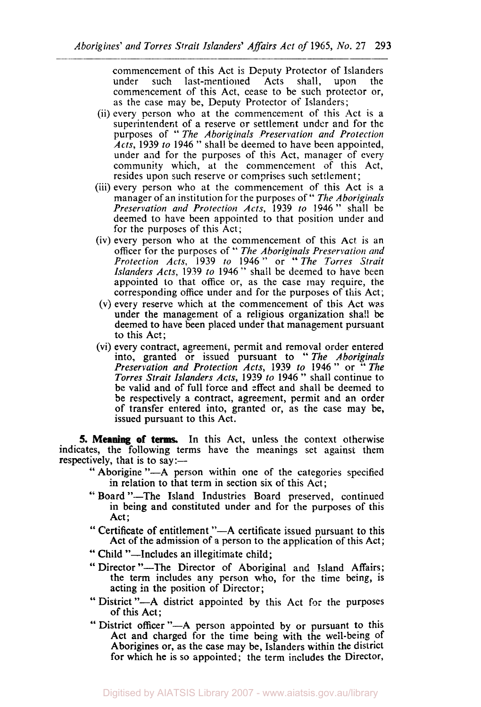commencement of this Act is Deputy Protector of Islanders<br>under such last-mentioned Acts shall, upon the last-mentioned commencement of this Act, cease to be such protector or, as the case may be, Deputy Protector of Islanders;

- (ii) every person who at the commencement of this Act is a superintendent of a reserve or settlement under and for the purposes of '' *The Aboriginals Preservation and Protection Acts,* 1939 *to* <sup>1946</sup>" shall be deemed to have been appointed, under and for the purposes of this Act, manager of every community which, at the commencement of this Act, resides upon such reserve or comprises such settlement;
- (iii) every person who at the commencement of this Act is a manager of an institution for the purposes of " *The Aboriginals Preservation and Protection Acts,* 1939 *to* 1946" shall be deemed to have been appointed to that position under and for the purposes of this Act;
- (iv) every person who at the commencement of this Act is an officer for the purposes of " *The Aboriginals Preservation and Protection Acts,* i939 *to* <sup>1946</sup>'' or *"The Torres Strait Islanders Acts,* 1939 *to* 1946." shall be deemed to have been appointed to that office or, as the case may require, the corresponding office under and for the purposes **of** this Act;
- (V) every reserve which at the commencement of this Act was under the management of **a** religious organization shall be deemed to have been placed under that management pursuant to this Act;
- (vi) every contract, agreement, permit and removal order entered every contract, agreement, permit and removal order entered<br>into, granted or issued pursuant to "*The Aboriginals Preservation and Protection Acts,* 1939 *to* 1946" or *"The Torres Strait Islanders Acts,* **1939** *to* <sup>1946</sup>" shall continue to be valid and of full force and effect and shall be deemed to be respectively a contract, agreement, permit and an order of transfer entered into, granted or, as the case may be, issued pursuant to this Act.

**5. Meaning of terms.** In this Act, unless the context otherwise indicates, the following terms have the meanings set against them respectively, that is to say: $-$ 

- " Aborigine "—A person within one of the categories specified in relation to that term in section six of this Act;
- " Board "-The Island Industries Board preserved, continued in being and constituted under and for the purposes of this Act;
- " Certificate of entitlement "—A certificate issued pursuant to this Act of the admission of a person to the application of this Act;
- " Child "—Includes an illegitimate child;
- " Director "-The Director of Aboriginal and Island Affairs; the term includes any person who, for the time being, is acting in the position of Director;
- " District "---A district appointed by this Act for the purposes of this Act;
- " District **officer** "-A person appointed by or pursuant to this Act and charged for the time being with the well-being of Aborigines **or,** as the case may be, Islanders within the district for which he **is** so appointed; the term includes the Director,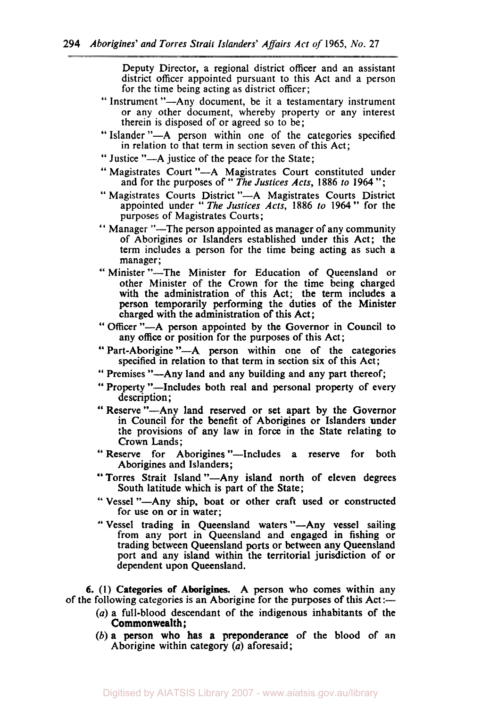Deputy Director, a regional district officer and an assistant district officer appointed pursuant to this Act and a person for the time being acting as district officer;

- '' Instrument "-Any document, be it a testamentary instrument or any other document, whereby property or any interest therein is disposed of or agreed so to be;
- " Islander "-A person within one of the categories specified in relation to that term in section seven of this Act;
- " Justice "-A justice of the peace for the State;
- '' Magistrates Court "-A Magistrates Court constituted under agistrates Court "—A magistrates Court constituted under<br>and for the purposes of "*The Justices Acts*, 1886 to 1964";
- " Magistrates Courts District "-A Magistrates Courts District appointed under " *The Justices Acts, 1886 to* **1964** \*' for the purposes of Magistrates Courts;
- " Manager "-The person appointed as manager of any community of Aborigines **or** Islanders established under this Act; the term includes a person for the time being acting as such a manager ; manager;<br>
"Minister "---The Minister for Education of Queensland or
- other Minister of the Crown for the time being charged with the administration of this Act; the term includes a person temporarily performing the duties **of** the Minister charged with the administration of this Act;
- " **Officer** \*\*-A person appointed by the Governor in Council to any **office** or position for the purposes of this Act;
- " Part-Aborigine **"-A** person within one of the categories specified in relation to that term in section six of this Act;
- " Premises '\*-Any land and any building and any part thereof;
- " Property "—Includes both real and personal property of every description ;
- "Reserve "-Any land reserved or set apart by the Governor in Council for the benefit of Aborigines **or** Islanders under the provisions of any law in force in the State relating to Crown Lands ;
- " Reserve for Aborigines "-Includes a reserve for both Aborigines and Islanders;
- "Torres Strait Island "-Any island north of eleven degrees South latitude which is part of the State;
- " Vessel "-Any ship, boat or other craft used or constructed for use on or in water;
- " Vessel trading in Queensland waters "-Any vessel sailing from any port in Queensland and engaged in fishing or trading between Queensland ports or between any Queensland port and any island within the territorial jurisdiction of or dependent upon Queensland.

**6. (I) Categories** of **Aborigines.** A person **who** comes within any of the following categories is an Aborigine for the purposes of this  $Act:--$ 

- (a) a full-blood descendant of the indigenous inhabitants of the Commonwealth;
- *(b)* a person who has a preponderance of the blood of **an**  Aborigine within category *(a)* aforesaid;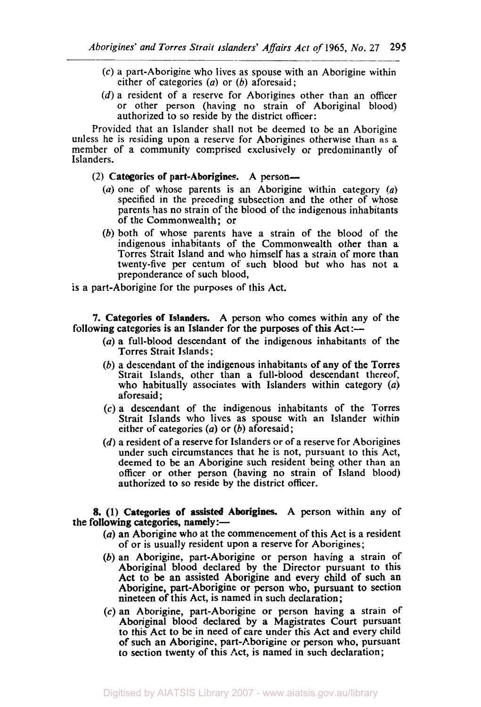- **(c)** a part-Aborigine who lives as spouse with an Aborigine within either of categories  $(a)$  or  $(b)$  aforesaid:
- (d) a resident of a reserve for Aborigines other than an officer or other person (having no strain of Aboriginal blood) authorized to **so** reside by the district officer:

Provided that an Islander shall not be deemed to be an Aborigine unless he is residing upon a reserve for Aborigines otherwise than as a member of a community comprised exclusively or predominantly of Islanders.

### **(2) Categories of part-Aborigines A** person-

- (a) one of whose parents is an Aborigine within category *(a)*  specified in the preceding subsection and the other of **whose**  parents has no strain of the blood of the indigenous inhabitants of the Commonwealth; or
- (b) both of whose parents have a strain **of** the blood of the indigenous inhabitants of the Commonwealth other than a Torres Strait Island and **who** himself has a strain **of** more than twenty-five per centum of such blood but who has not a preponderance of such blood,
- is a part-Aborigine for the purposes of this Act.

**7. Categories of Islanders.** A person who comes within any of the following categories is an Islander for the purposes of this  $Act$ :-

- $(a)$  a full-blood descendant of the indigenous inhabitants of the Torres Strait Islands;
- (b) a descendant of the indigenous inhabitants of **any** of the Torres Strait Islands, other than a full-blood descendant thereof, who habitually associates with Islanders within category *(a)*  aforesaid ;
- **(c)** a descendant of the indigenous inhabitants of the Torres Strait Islands who lives as spouse with an Islander within either of categories *(a)* **or** (b) aforesaid;
- (d) a resident of a reserve for Islanders or of a reserve for Aborigines under such circumstances that he is not, pursuant **to** this Act, deemed **to** be an Aborigine such resident being other than an officer or other person (having no strain of Island blood) authorized to **so** reside by the district officer.

#### **8. (1) Categories of** *assisted* **Aborigines.** A person within any of the following categories, namely: $-$

- *(a)* an Aborigine who at the commencement of this Act is a resident of or is usually resident upon a reserve for Aborigines;
- (b) an Aborigine, part-Aborigine or person having a strain of Aboriginal blood declared by the Director pursuant to this Act to be an assisted Aborigine and every child of such an Aborigine, part-Aborigine or person who, pursuant to section nineteen of this Act, is named in such declaration;
- *(c)* an Aborigine, part-Aborigine or person having a strain of Aboriginal blood declared by a Magistrates Court pursuant to this Act to be in need of care under this Act and every child of such an Aborigine, part-Aborigine or person who, pursuant to section twenty of this Act, is named in such declaration;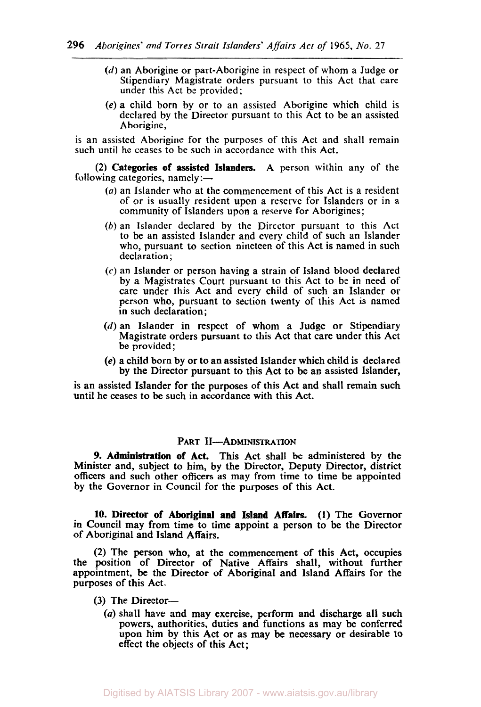- *(d)* an Aborigine or part-Aborigine in respect of whom a Judge or Stipendiary Magistrate orders pursuant to this Act that care under this Act be provided;
- (e) a child born by or to an assisted Aborigine which child is declared by the Director pursuant to this Act to be an assisted Aborigine,

is an assisted Aborigine for the purposes of this Act and shall remain such until he ceases to be such **in** accordance with this Act.

(2) Categories of assisted Islanders. A person within any of the following categories, namely: $-$ 

- **(a)** an Islander who at the commencement of this Act is a resident of or is usually resident upon a reserve for Islanders or in a community of Islanders upon a reserve for Aborigines;
- *(b)* an Islander declared by the Director pursuant to this Act to be an assisted Islander and every child of such an Islander who, pursuant **to** section nineteen of this Act is named in such declaration:
- *(c)* an Islander or person having a strain of island blood declared by a Magistrates Court pursuant to this Act to be in need of care under this Act and every child of such an Islander or person who, pursuant to section twenty of this Act is named in such declaration;
- $(d)$  an Islander in respect of whom a Judge or Stipendiary Magistrate orders pursuant to this Act that care under this Act be provided;
- (e) a child born by or to an assisted Islander which child is declared by the Director pursuant to this Act to be an assisted Islander,

is an assisted Islander for the purposes of this Act and shall remain such until he ceases to be such in accordance with this Act.

### PART II-ADMINISTRATION

*9.* Administration of Act. This Act shall be administered *by* the Minister and, subject to him, by the Director, Deputy Director, district officers and such other officers as may from time to time be appointed by the Governor in Council for the purposes of this Act.

**10.** Director of Aboriginal **and** Island **Affairs.** (1) The Governor in Council may from time to time appoint a person to be the Director of Aboriginal and Island Affairs.

**(2)** The person who, at the commencement of this Act, occupies the position of Director of Native Affairs shall, without further appointment, be the Director of Aboriginal and island Affairs for the purposes of this Act.

- $(3)$  The Director-
	- (a) shall hare and may exercise, perform and discharge all such powers, authorities, duties and functions as may be conferred upon him by this Act or as may be necessary or desirable **to**  effect the objects of this Act;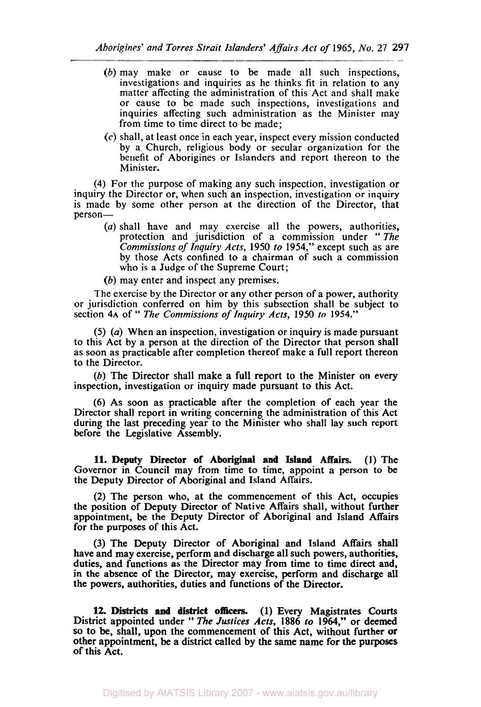- *(b)* may make or cause to be made all such inspections, investigations and inquiries as he thinks fit in relation to any matter affecting the administration of this Act and shall make or cause to be made such inspections, investigations and inquiries affecting such administration as the Minister may from time to time direct to be made;
- **(c)** shall, at least once in each year, inspect every mission conducted by a Church, religious body or secular organization for the benefit of Aborigines or Islanders and report thereon to the Minister.

**(4)** For the purpose of making any such inspection, investigation or inquiry the Director or, when such an inspection, investigation or inquiry is made by some other person at the direction of the Director, that person-

- *(a)* shall have and may exercise all the powers, authorities, protection and jurisdiction of a commission under '' *The Commissions of Inquiry Acts,* **1950** *to* **1954,"** except such as are by those Acts confined to a chairman of such a commission who is a Judge of the Supreme Court;
- *(b)* may enter and inspect any premises.

The exercise by the Director or any other person of a power, authority or jurisdiction conferred on him by this subsection shall be subject to section **4A** of " *The Commissions of Inquiry Acts,* **1950** *to* **1954."** 

*(5) (a)* When an inspection, investigation or inquiry is made pursuant to this Act by a person at the direction of the Director that person shall as soon as practicable after completion thereof make a full report thereon to the Director.

(b) The Director shall make a full report to the Minister on every inspection, investigation or inquiry made pursuant to this Act.

(6) As soon as practicable after the completion of each year the Director shall report in writing concerning the administration of this Act during the last preceding year to the Minister who shall lay such report before the Legislative Assembly.

**11. Deputy Director of Aboriginal and** Island Affairs. **(1)** The Governor in Council may from time to time, appoint a person to be the Deputy Director of Aboriginal and Island Affairs.

(2) The person who, at the commencement of this Act, occupies the position of Deputy Director of Native Affairs shall, without further appointment, be the Deputy Director of Aboriginal and Island Affairs for the purposes of this Act.

(3) The Deputy Director of Aboriginal and Island Affairs shall have and may exercise, perform and discharge all such powers, authorities, duties, and functions as the Director may from time to time direct and, in the absence of the Director, may exercise, **perform** and discharge all the powers, authorities, duties and functions of the Director.

**12.** Districts **and** district **officers. (1)** Every Magistrates Courts District appointed under " The *Justices Acts,* **1886 to 1964,"** or deemed *so* to be, shall, upon the commencement of this Act, without further **or**  other appointment, be a district called by the same name for *the* purposes of this Act.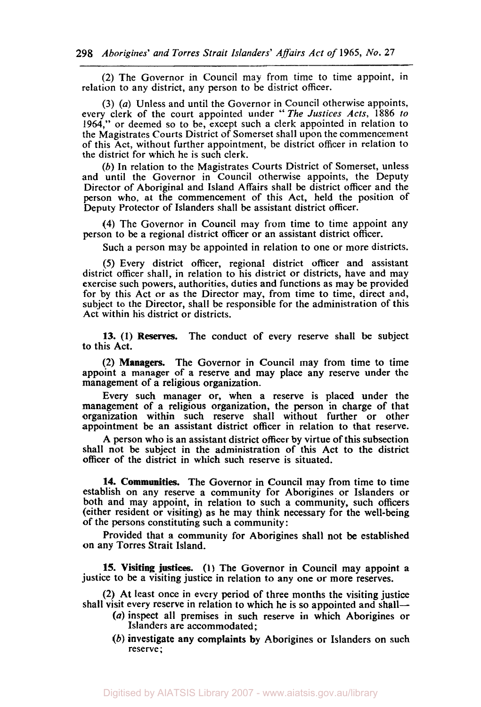(2) The Governor in Council may from time to time appoint, in relation to any district, any person to be district officer.

*(3) (a)* Unless and until the Governor in Council otherwise appoints, every clerk of the court appointed under "The *Justices Acts,* 1886 *to*  1964," or deemed so to be, except such a clerk appointed in relation to the Magistrates Courts District of Somerset shall upon the commencement of this Act, without further appointment, be district officer in relation to the district for which he is such clerk.

(b) In relation to the Magistrates Courts District of Somerset, unless and until the Governor in Council otherwise appoints, the Deputy Director of Aboriginal and Island Affairs shall be district officer and the person who, at the commencement of this Act, held the position of Deputy Protector of Islanders shall be assistant district officer.

**(4)** The Governor in Council may from time to time appoint any person to be a regional district officer or an assistant district officer.

Such a person may be appointed in relation to one or more districts.

*(5)* Every district officer, regional district officer and assistant district officer shall, in relation to his district or districts, have and may exercise such powers, authorities, duties and functions as may be provided for by this Act or as the Director may, from time to time, direct and, subject to the Director, shall be responsible for the administration of this Act within his district or districts.

13. **(1) Reserves.** The conduct of every reserve shall be subject to this Act.

**(2) Managers.** The Governor in Council may from time to time appoint a manager of a reserve and may place any reserve under the management of a religious organization.

Every such manager or, when a reserve is placed under the management of a religious organization, the person in charge of that organization within such reserve shall without further or other appointment be an assistant district officer in relation to that reserve.

A person who is an assistant district officer by virtue of this subsection shall not be subject in the administration of this Act to the district officer of the district in which such reserve is situated.

**14. Communities.** The Governor in Council may from time to time establish on any reserve a community for Aborigines or Islanders or both and may appoint, in relation to such a community, such officers (either resident or visiting) as he may think necessary for the well-being of the persons constituting such a community:

Provided that a community for Aborigines shall not be established on any Torres Strait Island.

**15. Visiting justices. (1)** The Governor in Council may appoint *a*  justice to be a visiting justice in relation to any one or more reserves.

(2) At least once in every period of three months the visiting justice shall visit every reserve in relation to which he is so appointed and shall—

- *(a)* inspect all premises in such reserve in which Aborigines or Islanders are accommodated ;
- (b) investigate any complaints by Aborigines or Islanders on such reserve;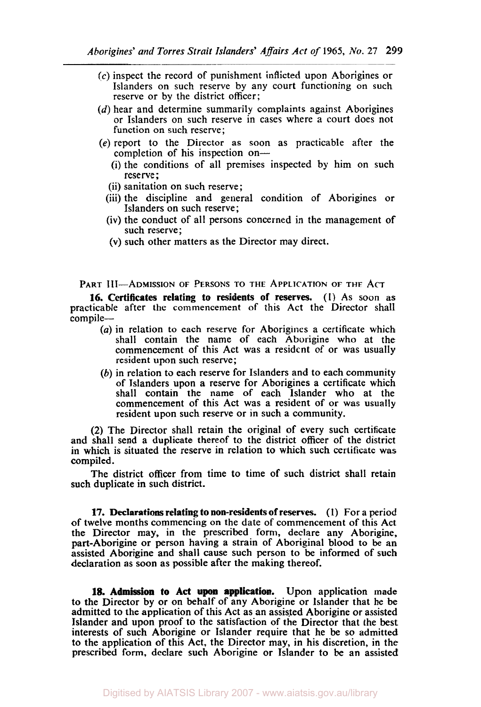- **(c)** inspect the record of punishment inflicted upon Aborigines or Islanders on such reserve by any court functioning on such reserve or by the district officer;
- *(d)* hear and determine summarily complaints against Aborigines or Islanders on such reserve in cases where a court does not function on such reserve;
- *(e)* report to the Director as soon as practicable after the completion of his inspection on-
	- (i) the conditions of all premises inspected by him on such reserve ;
	- (ii) sanitation on such reserve;
	- (iii) the discipline and general condition of Aborigines or Islanders on such reserve;
	- (iv) the conduct of all persons concerned in the management of such reserve ;
	- (V) such other matters as the Director may direct.

PART III-ADMISSION OF PERSONS TO THE APPLICATION OF THE ACT

16. Certificates relating to residents of reserves. (1) As soon as practicable after the commencement of this Act the Director shall compile-

- *(a)* in relation to each reserve for Aborigines a certificate which shall contain the name of each Aborigine who at the commencement of this Act was a resident of or was usually resident upon such reserve;
- (b) in relation to each reserve for Islanders and to each community of Islanders upon a reserve for Aborigines a certificate which shall contain the name of each Islander who at the commencement of this Act was a resident of or was usually resident upon such reserve or in such a community.

(2) The Director shall retain the original of every such certificate and shall send a duplicate thereof to the district officer of the district in which is situated the reserve in relation to which such certificate was compiled.

The district **officer** from time to time of such district shall retain such duplicate in such district.

**17.** Declarations relating to non-residents of **reserves. (I)** For a period of twelve months commencing on the date of commencement of this Act the Director may, in the prescribed form, declare any Aborigine, part-Aborigine or **person** having a strain of Aboriginal blood to be an assisted Aborigine and shall cause such person to be informed of such declaration as soon as possible after the making thereof.

**18.** Admission to Act **upon** application. Upon application made to the Director by or on behalf of any Aborigine or Islander that he be admitted to the application of this Act as an assisted Aborigine or assisted Islander and upon proof to the satisfaction of the Director that the best interests of such Aborigine or Islander require that he be **so** admitted to the application of this Act, the Director may, in his discretion, in the prescribed form, declare such Aborigine or Islander to be an assisted